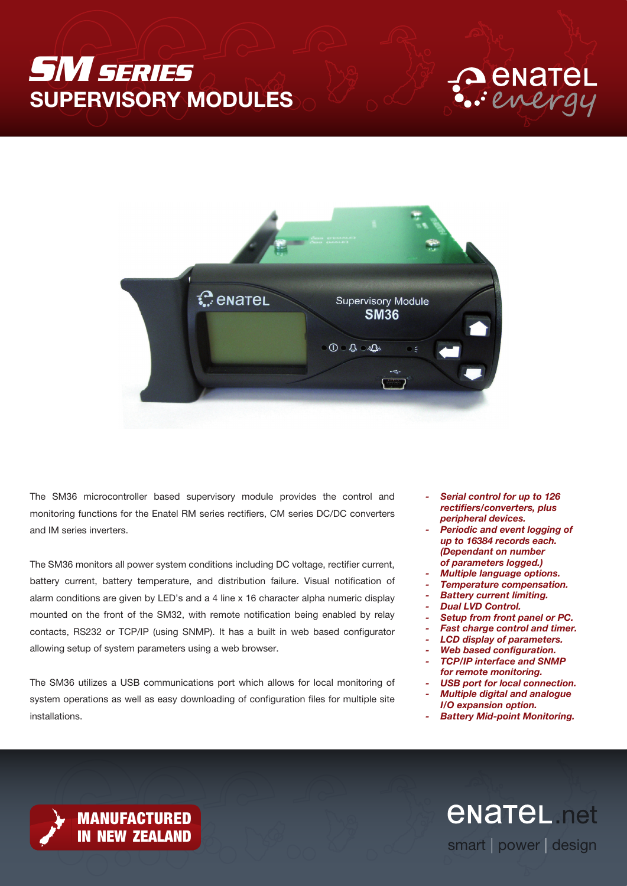# *SM SERIES* SUPERVISORY MODULES





The SM36 microcontroller based supervisory module provides the control and monitoring functions for the Enatel RM series rectifiers, CM series DC/DC converters and IM series inverters.

The SM36 monitors all power system conditions including DC voltage, rectifier current, battery current, battery temperature, and distribution failure. Visual notification of alarm conditions are given by LED's and a 4 line x 16 character alpha numeric display mounted on the front of the SM32, with remote notification being enabled by relay contacts, RS232 or TCP/IP (using SNMP). It has a built in web based configurator allowing setup of system parameters using a web browser.

The SM36 utilizes a USB communications port which allows for local monitoring of system operations as well as easy downloading of configuration files for multiple site installations.

- *- Serial control for up to 126 rectifiers/converters, plus peripheral devices.*
- *- Periodic and event logging of up to 16384 records each. (Dependant on number of parameters logged.)*
- *- Multiple language options.*
- *- Temperature compensation.*
- *- Battery current limiting.*
- *- Dual LVD Control.*
- *- Setup from front panel or PC.*
- *- Fast charge control and timer.*
- *- LCD display of parameters.*
- *- Web based configuration.*
- *- TCP/IP interface and SNMP for remote monitoring.*
- *- USB port for local connection.*
- *- Multiple digital and analogue*
- *I/O expansion option. - Battery Mid-point Monitoring.*

*<u>ENATEL</u>* net smart | power | design



**MANUFACTURED<br>IN NEW ZEALAND**